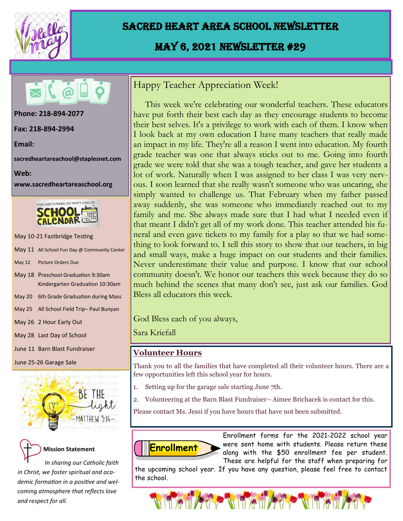

## May 6, 2021 Newsletter #29



**Phone: 218-894-2077** 

**Fax: 218-894-2994**

**Email:** 

**sacredheartareachool@staplesnet.com**

**Web:** 

**www.sacredheartareaschool.org**



- May 10-21 Fastbridge Testing
- May 11 All School Fun Day @ Community Center
- May 12 Picture Orders Due
- May 18 Preschool Graduation 9:30am Kindergarten Graduation 10:30am
- May 20 6th Grade Graduation during Mass
- May 25 All School Field Trip– Paul Bunyan
- May 26 2 Hour Early Out
- May 28 Last Day of School
- June 11 Barn Blast Fundraiser

June 25-26 Garage Sale



## **Mission Statement**

*In sharing our Catholic faith in Christ, we foster spiritual and academic formation in a positive and welcoming atmosphere that reflects love and respect for all.*

## Happy Teacher Appreciation Week!

This week we're celebrating our wonderful teachers. These educators have put forth their best each day as they encourage students to become their best selves. It's a privilege to work with each of them. I know when I look back at my own education I have many teachers that really made an impact in my life. They're all a reason I went into education. My fourth grade teacher was one that always sticks out to me. Going into fourth grade we were told that she was a tough teacher, and gave her students a lot of work. Naturally when I was assigned to her class I was very nervous. I soon learned that she really wasn't someone who was uncaring, she simply wanted to challenge us. That February when my father passed away suddenly, she was someone who immediately reached out to my family and me. She always made sure that I had what I needed even if that meant I didn't get all of my work done. This teacher attended his funeral and even gave tickets to my family for a play so that we had something to look forward to. I tell this story to show that our teachers, in big and small ways, make a huge impact on our students and their families. Never underestimate their value and purpose. I know that our school community doesn't. We honor our teachers this week because they do so much behind the scenes that many don't see, just ask our families. God Bless all educators this week.

God Bless each of you always,

Sara Kriefall

### **Volunteer Hours**

Thank you to all the families that have completed all their volunteer hours. There are a few opportunities left this school year for hours.

- Setting up for the garage sale starting June 7th.
- 2. Volunteering at the Barn Blast Fundraiser– Aimee Brichacek is contact for this.

Please contact Ms. Jessi if you have hours that have not been submitted.



Enrollment forms for the 2021-2022 school year were sent home with students. Please return these along with the \$50 enrollment fee per student. These are helpful for the staff when preparing for

the upcoming school year. If you have any question, please feel free to contact the school.